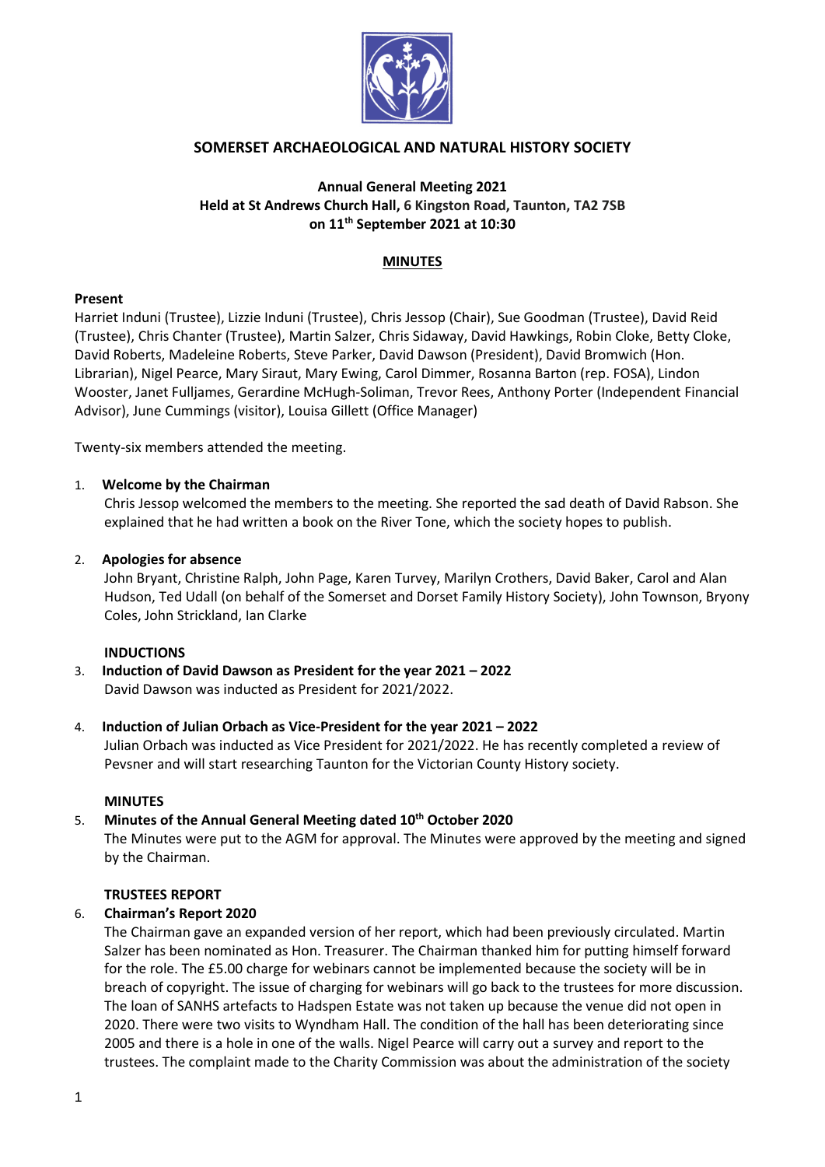

# **SOMERSET ARCHAEOLOGICAL AND NATURAL HISTORY SOCIETY**

# **Annual General Meeting 2021 Held at St Andrews Church Hall, 6 Kingston Road, Taunton, TA2 7SB on 11th September 2021 at 10:30**

### **MINUTES**

## **Present**

Harriet Induni (Trustee), Lizzie Induni (Trustee), Chris Jessop (Chair), Sue Goodman (Trustee), David Reid (Trustee), Chris Chanter (Trustee), Martin Salzer, Chris Sidaway, David Hawkings, Robin Cloke, Betty Cloke, David Roberts, Madeleine Roberts, Steve Parker, David Dawson (President), David Bromwich (Hon. Librarian), Nigel Pearce, Mary Siraut, Mary Ewing, Carol Dimmer, Rosanna Barton (rep. FOSA), Lindon Wooster, Janet Fulljames, Gerardine McHugh-Soliman, Trevor Rees, Anthony Porter (Independent Financial Advisor), June Cummings (visitor), Louisa Gillett (Office Manager)

Twenty-six members attended the meeting.

## 1. **Welcome by the Chairman**

Chris Jessop welcomed the members to the meeting. She reported the sad death of David Rabson. She explained that he had written a book on the River Tone, which the society hopes to publish.

## 2. **Apologies for absence**

John Bryant, Christine Ralph, John Page, Karen Turvey, Marilyn Crothers, David Baker, Carol and Alan Hudson, Ted Udall (on behalf of the Somerset and Dorset Family History Society), John Townson, Bryony Coles, John Strickland, Ian Clarke

#### **INDUCTIONS**

3. **Induction of David Dawson as President for the year 2021 – 2022** David Dawson was inducted as President for 2021/2022.

## 4. **Induction of Julian Orbach as Vice-President for the year 2021 – 2022**

Julian Orbach was inducted as Vice President for 2021/2022. He has recently completed a review of Pevsner and will start researching Taunton for the Victorian County History society.

#### **MINUTES**

## 5. **Minutes of the Annual General Meeting dated 10th October 2020**

The Minutes were put to the AGM for approval. The Minutes were approved by the meeting and signed by the Chairman.

#### **TRUSTEES REPORT**

#### 6. **Chairman's Report 2020**

The Chairman gave an expanded version of her report, which had been previously circulated. Martin Salzer has been nominated as Hon. Treasurer. The Chairman thanked him for putting himself forward for the role. The £5.00 charge for webinars cannot be implemented because the society will be in breach of copyright. The issue of charging for webinars will go back to the trustees for more discussion. The loan of SANHS artefacts to Hadspen Estate was not taken up because the venue did not open in 2020. There were two visits to Wyndham Hall. The condition of the hall has been deteriorating since 2005 and there is a hole in one of the walls. Nigel Pearce will carry out a survey and report to the trustees. The complaint made to the Charity Commission was about the administration of the society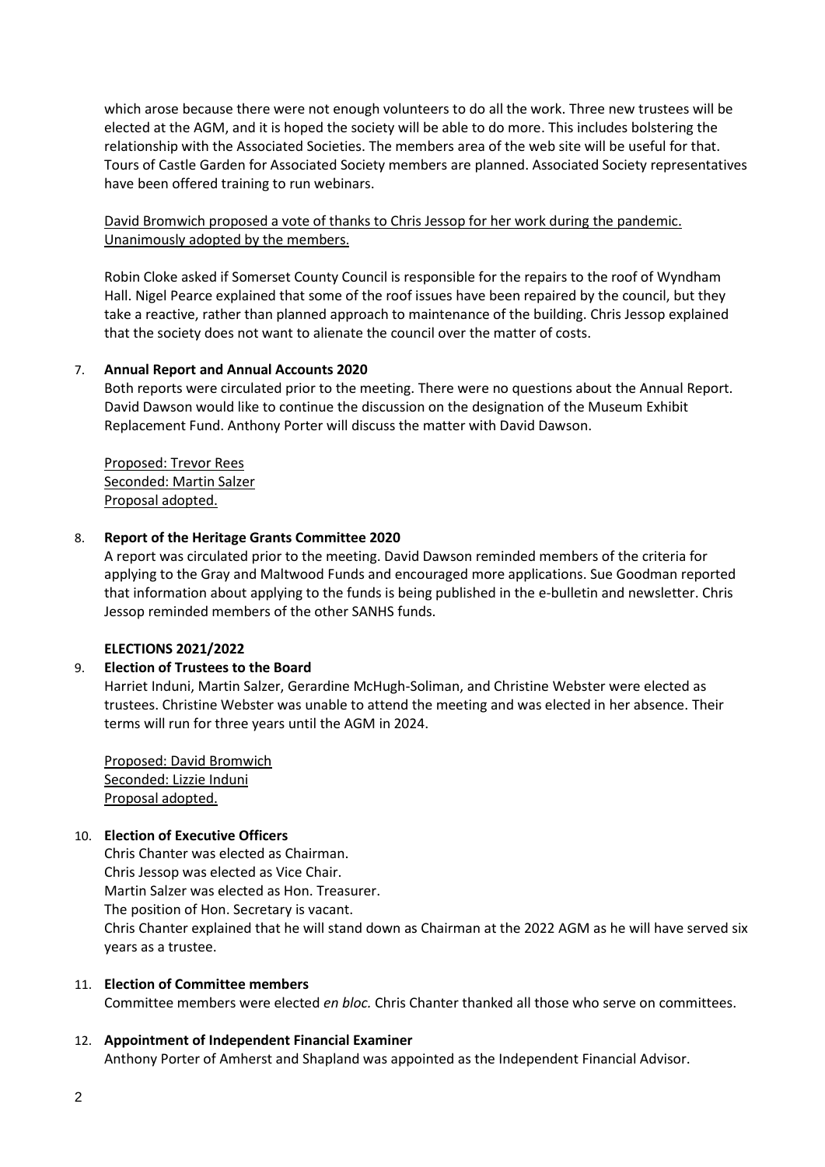which arose because there were not enough volunteers to do all the work. Three new trustees will be elected at the AGM, and it is hoped the society will be able to do more. This includes bolstering the relationship with the Associated Societies. The members area of the web site will be useful for that. Tours of Castle Garden for Associated Society members are planned. Associated Society representatives have been offered training to run webinars.

David Bromwich proposed a vote of thanks to Chris Jessop for her work during the pandemic. Unanimously adopted by the members.

Robin Cloke asked if Somerset County Council is responsible for the repairs to the roof of Wyndham Hall. Nigel Pearce explained that some of the roof issues have been repaired by the council, but they take a reactive, rather than planned approach to maintenance of the building. Chris Jessop explained that the society does not want to alienate the council over the matter of costs.

#### 7. **Annual Report and Annual Accounts 2020**

Both reports were circulated prior to the meeting. There were no questions about the Annual Report. David Dawson would like to continue the discussion on the designation of the Museum Exhibit Replacement Fund. Anthony Porter will discuss the matter with David Dawson.

Proposed: Trevor Rees Seconded: Martin Salzer Proposal adopted.

#### 8. **Report of the Heritage Grants Committee 2020**

A report was circulated prior to the meeting. David Dawson reminded members of the criteria for applying to the Gray and Maltwood Funds and encouraged more applications. Sue Goodman reported that information about applying to the funds is being published in the e-bulletin and newsletter. Chris Jessop reminded members of the other SANHS funds.

#### **ELECTIONS 2021/2022**

## 9. **Election of Trustees to the Board**

Harriet Induni, Martin Salzer, Gerardine McHugh-Soliman, and Christine Webster were elected as trustees. Christine Webster was unable to attend the meeting and was elected in her absence. Their terms will run for three years until the AGM in 2024.

Proposed: David Bromwich Seconded: Lizzie Induni Proposal adopted.

#### 10. **Election of Executive Officers**

Chris Chanter was elected as Chairman. Chris Jessop was elected as Vice Chair. Martin Salzer was elected as Hon. Treasurer. The position of Hon. Secretary is vacant. Chris Chanter explained that he will stand down as Chairman at the 2022 AGM as he will have served six years as a trustee.

#### 11. **Election of Committee members**

Committee members were elected *en bloc.* Chris Chanter thanked all those who serve on committees.

#### 12. **Appointment of Independent Financial Examiner**

Anthony Porter of Amherst and Shapland was appointed as the Independent Financial Advisor.